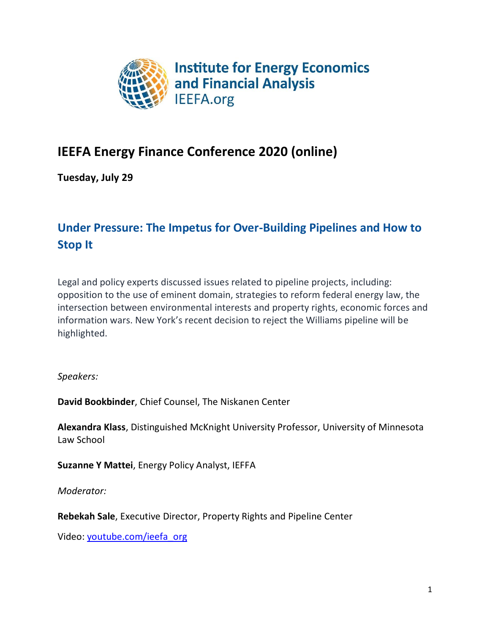

# **IEEFA Energy Finance Conference 2020 (online)**

**Tuesday, July 29**

# **Under Pressure: The Impetus for Over-Building Pipelines and How to Stop It**

Legal and policy experts discussed issues related to pipeline projects, including: opposition to the use of eminent domain, strategies to reform federal energy law, the intersection between environmental interests and property rights, economic forces and information wars. New York's recent decision to reject the Williams pipeline will be highlighted.

*Speakers:*

**David Bookbinder**, Chief Counsel, The Niskanen Center

**Alexandra Klass**, Distinguished McKnight University Professor, University of Minnesota Law School

**Suzanne Y Mattei**, Energy Policy Analyst, IEFFA

*Moderator:*

**Rebekah Sale**, Executive Director, Property Rights and Pipeline Center

Video: [youtube.com/ieefa\\_org](https://youtu.be/Oh4yPMwDSWU)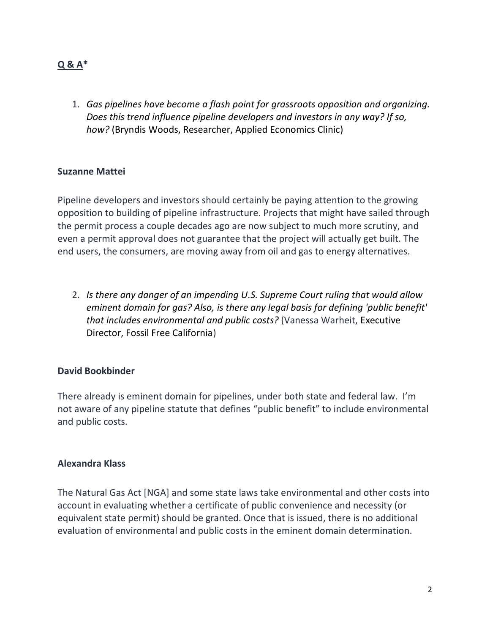# **Q & A\***

1. *Gas pipelines have become a flash point for grassroots opposition and organizing. Does this trend influence pipeline developers and investors in any way? If so, how?* (Bryndis Woods, Researcher, Applied Economics Clinic)

### **Suzanne Mattei**

Pipeline developers and investors should certainly be paying attention to the growing opposition to building of pipeline infrastructure. Projects that might have sailed through the permit process a couple decades ago are now subject to much more scrutiny, and even a permit approval does not guarantee that the project will actually get built. The end users, the consumers, are moving away from oil and gas to energy alternatives.

2. *Is there any danger of an impending U.S. Supreme Court ruling that would allow eminent domain for gas? Also, is there any legal basis for defining 'public benefit' that includes environmental and public costs?* (Vanessa Warheit, Executive Director, Fossil Free California)

#### **David Bookbinder**

There already is eminent domain for pipelines, under both state and federal law. I'm not aware of any pipeline statute that defines "public benefit" to include environmental and public costs.

#### **Alexandra Klass**

The Natural Gas Act [NGA] and some state laws take environmental and other costs into account in evaluating whether a certificate of public convenience and necessity (or equivalent state permit) should be granted. Once that is issued, there is no additional evaluation of environmental and public costs in the eminent domain determination.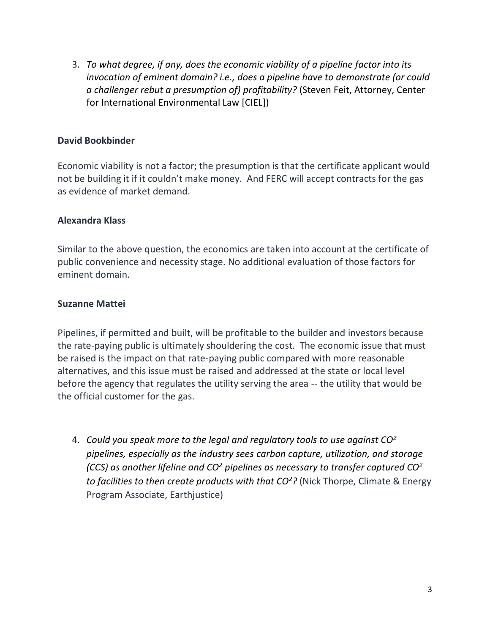3. *To what degree, if any, does the economic viability of a pipeline factor into its invocation of eminent domain? i.e., does a pipeline have to demonstrate (or could a challenger rebut a presumption of) profitability?* (Steven Feit, Attorney, Center for International Environmental Law [CIEL])

## **David Bookbinder**

Economic viability is not a factor; the presumption is that the certificate applicant would not be building it if it couldn't make money. And FERC will accept contracts for the gas as evidence of market demand.

### **Alexandra Klass**

Similar to the above question, the economics are taken into account at the certificate of public convenience and necessity stage. No additional evaluation of those factors for eminent domain.

### **Suzanne Mattei**

Pipelines, if permitted and built, will be profitable to the builder and investors because the rate-paying public is ultimately shouldering the cost. The economic issue that must be raised is the impact on that rate-paying public compared with more reasonable alternatives, and this issue must be raised and addressed at the state or local level before the agency that regulates the utility serving the area -- the utility that would be the official customer for the gas.

4. *Could you speak more to the legal and regulatory tools to use against CO<sup>2</sup> pipelines, especially as the industry sees carbon capture, utilization, and storage (CCS) as another lifeline and CO<sup>2</sup> pipelines as necessary to transfer captured CO<sup>2</sup> to facilities to then create products with that CO<sup>2</sup>?* (Nick Thorpe, Climate & Energy Program Associate, Earthjustice)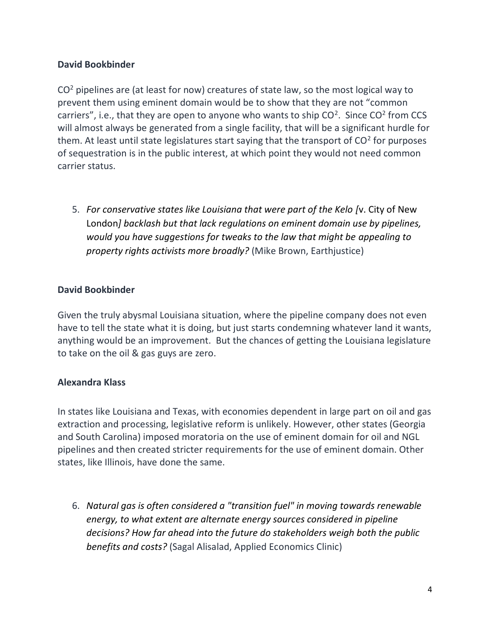# **David Bookbinder**

 $CO<sup>2</sup>$  pipelines are (at least for now) creatures of state law, so the most logical way to prevent them using eminent domain would be to show that they are not "common carriers", i.e., that they are open to anyone who wants to ship  $CO<sup>2</sup>$ . Since  $CO<sup>2</sup>$  from CCS will almost always be generated from a single facility, that will be a significant hurdle for them. At least until state legislatures start saying that the transport of  $CO<sup>2</sup>$  for purposes of sequestration is in the public interest, at which point they would not need common carrier status.

5. *For conservative states like Louisiana that were part of the Kelo [*v. City of New London*] backlash but that lack regulations on eminent domain use by pipelines, would you have suggestions for tweaks to the law that might be appealing to property rights activists more broadly?* (Mike Brown, Earthjustice)

## **David Bookbinder**

Given the truly abysmal Louisiana situation, where the pipeline company does not even have to tell the state what it is doing, but just starts condemning whatever land it wants, anything would be an improvement. But the chances of getting the Louisiana legislature to take on the oil & gas guys are zero.

## **Alexandra Klass**

In states like Louisiana and Texas, with economies dependent in large part on oil and gas extraction and processing, legislative reform is unlikely. However, other states (Georgia and South Carolina) imposed moratoria on the use of eminent domain for oil and NGL pipelines and then created stricter requirements for the use of eminent domain. Other states, like Illinois, have done the same.

6. *Natural gas is often considered a "transition fuel" in moving towards renewable energy, to what extent are alternate energy sources considered in pipeline decisions? How far ahead into the future do stakeholders weigh both the public benefits and costs?* (Sagal Alisalad, Applied Economics Clinic)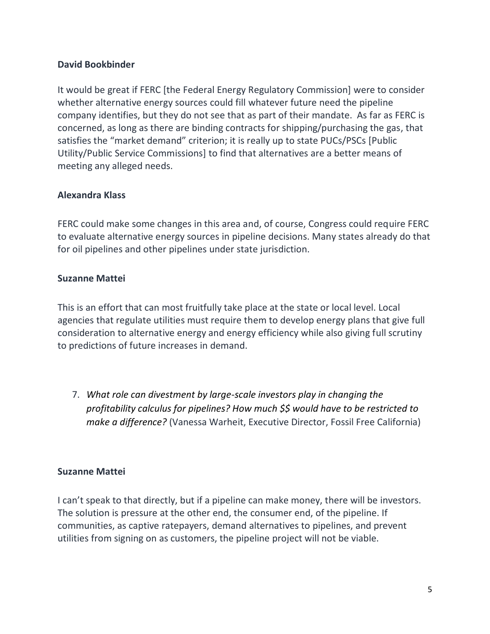## **David Bookbinder**

It would be great if FERC [the Federal Energy Regulatory Commission] were to consider whether alternative energy sources could fill whatever future need the pipeline company identifies, but they do not see that as part of their mandate. As far as FERC is concerned, as long as there are binding contracts for shipping/purchasing the gas, that satisfies the "market demand" criterion; it is really up to state PUCs/PSCs [Public Utility/Public Service Commissions] to find that alternatives are a better means of meeting any alleged needs.

### **Alexandra Klass**

FERC could make some changes in this area and, of course, Congress could require FERC to evaluate alternative energy sources in pipeline decisions. Many states already do that for oil pipelines and other pipelines under state jurisdiction.

### **Suzanne Mattei**

This is an effort that can most fruitfully take place at the state or local level. Local agencies that regulate utilities must require them to develop energy plans that give full consideration to alternative energy and energy efficiency while also giving full scrutiny to predictions of future increases in demand.

7. *What role can divestment by large-scale investors play in changing the profitability calculus for pipelines? How much \$\$ would have to be restricted to make a difference?* (Vanessa Warheit, Executive Director, Fossil Free California)

## **Suzanne Mattei**

I can't speak to that directly, but if a pipeline can make money, there will be investors. The solution is pressure at the other end, the consumer end, of the pipeline. If communities, as captive ratepayers, demand alternatives to pipelines, and prevent utilities from signing on as customers, the pipeline project will not be viable.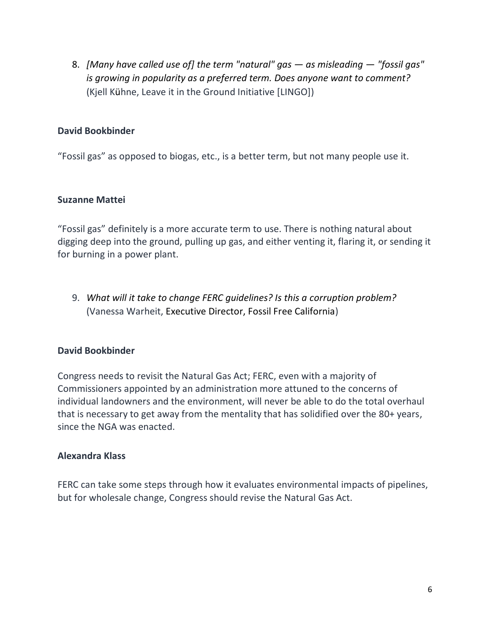8. *[Many have called use of] the term "natural" gas — as misleading — "fossil gas" is growing in popularity as a preferred term. Does anyone want to comment?* (Kjell Kühne, Leave it in the Ground Initiative [LINGO])

## **David Bookbinder**

"Fossil gas" as opposed to biogas, etc., is a better term, but not many people use it.

### **Suzanne Mattei**

"Fossil gas" definitely is a more accurate term to use. There is nothing natural about digging deep into the ground, pulling up gas, and either venting it, flaring it, or sending it for burning in a power plant.

9. *What will it take to change FERC guidelines? Is this a corruption problem?* (Vanessa Warheit, Executive Director, Fossil Free California)

#### **David Bookbinder**

Congress needs to revisit the Natural Gas Act; FERC, even with a majority of Commissioners appointed by an administration more attuned to the concerns of individual landowners and the environment, will never be able to do the total overhaul that is necessary to get away from the mentality that has solidified over the 80+ years, since the NGA was enacted.

#### **Alexandra Klass**

FERC can take some steps through how it evaluates environmental impacts of pipelines, but for wholesale change, Congress should revise the Natural Gas Act.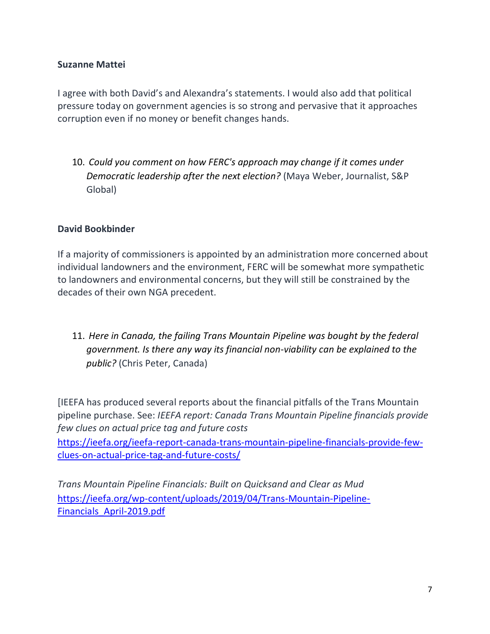# **Suzanne Mattei**

I agree with both David's and Alexandra's statements. I would also add that political pressure today on government agencies is so strong and pervasive that it approaches corruption even if no money or benefit changes hands.

10. *Could you comment on how FERC's approach may change if it comes under Democratic leadership after the next election?* (Maya Weber, Journalist, S&P Global)

## **David Bookbinder**

If a majority of commissioners is appointed by an administration more concerned about individual landowners and the environment, FERC will be somewhat more sympathetic to landowners and environmental concerns, but they will still be constrained by the decades of their own NGA precedent.

11. *Here in Canada, the failing Trans Mountain Pipeline was bought by the federal government. Is there any way its financial non-viability can be explained to the public?* (Chris Peter, Canada)

[IEEFA has produced several reports about the financial pitfalls of the Trans Mountain pipeline purchase. See: *IEEFA report: Canada Trans Mountain Pipeline financials provide few clues on actual price tag and future costs*

[https://ieefa.org/ieefa-report-canada-trans-mountain-pipeline-financials-provide-few](https://ieefa.org/ieefa-report-canada-trans-mountain-pipeline-financials-provide-few-clues-on-actual-price-tag-and-future-costs/)[clues-on-actual-price-tag-and-future-costs/](https://ieefa.org/ieefa-report-canada-trans-mountain-pipeline-financials-provide-few-clues-on-actual-price-tag-and-future-costs/)

*Trans Mountain Pipeline Financials: Built on Quicksand and Clear as Mud* [https://ieefa.org/wp-content/uploads/2019/04/Trans-Mountain-Pipeline-](https://ieefa.org/wp-content/uploads/2019/04/Trans-Mountain-Pipeline-Financials_April-2019.pdf)[Financials\\_April-2019.pdf](https://ieefa.org/wp-content/uploads/2019/04/Trans-Mountain-Pipeline-Financials_April-2019.pdf)